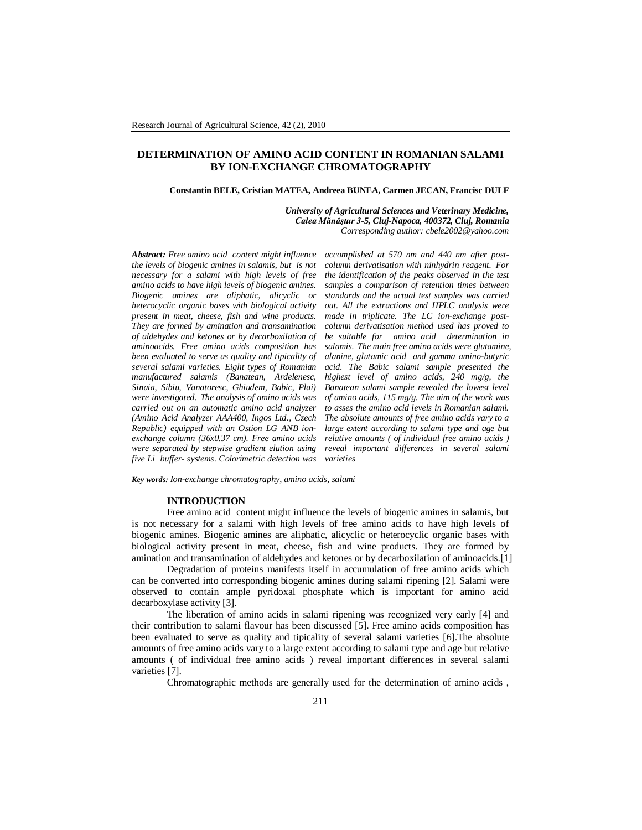# **DETERMINATION OF AMINO ACID CONTENT IN ROMANIAN SALAMI BY ION-EXCHANGE CHROMATOGRAPHY**

#### **Constantin BELE, Cristian MATEA, Andreea BUNEA, Carmen JECAN, Francisc DULF**

*University of Agricultural Sciences and Veterinary Medicine, Calea Mănăştur 3-5, Cluj-Napoca, 400372, Cluj, Romania Corresponding author: cbele2002@yahoo.com*

*Abstract: Free amino acid content might influence the levels of biogenic amines in salamis, but is not necessary for a salami with high levels of free amino acids to have high levels of biogenic amines. Biogenic amines are aliphatic, alicyclic or heterocyclic organic bases with biological activity present in meat, cheese, fish and wine products. They are formed by amination and transamination of aldehydes and ketones or by decarboxilation of aminoacids. Free amino acids composition has been evaluated to serve as quality and tipicality of several salami varieties. Eight types of Romanian manufactured salamis (Banatean, Ardelenesc, Sinaia, Sibiu, Vanatoresc, Ghiudem, Babic, Plai) were investigated. The analysis of amino acids was carried out on an automatic amino acid analyzer (Amino Acid Analyzer AAA400, Ingos Ltd., Czech Republic) equipped with an Ostion LG ANB ionexchange column (36x0.37 cm). Free amino acids were separated by stepwise gradient elution using five Li<sup>+</sup>buffer- systems. Colorimetric detection was*  *accomplished at 570 nm and 440 nm after postcolumn derivatisation with ninhydrin reagent. For the identification of the peaks observed in the test samples a comparison of retention times between standards and the actual test samples was carried out. All the extractions and HPLC analysis were made in triplicate. The LC ion-exchange postcolumn derivatisation method used has proved to be suitable for amino acid determination in salamis. The main free amino acids were glutamine, alanine, glutamic acid and gamma amino-butyric acid. The Babic salami sample presented the highest level of amino acids, 240 mg/g, the Banatean salami sample revealed the lowest level of amino acids, 115 mg/g. The aim of the work was to asses the amino acid levels in Romanian salami. The absolute amounts of free amino acids vary to a large extent according to salami type and age but relative amounts ( of individual free amino acids ) reveal important differences in several salami varieties*

*Key words: Ion-exchange chromatography, amino acids, salami*

### **INTRODUCTION**

Free amino acid content might influence the levels of biogenic amines in salamis, but is not necessary for a salami with high levels of free amino acids to have high levels of biogenic amines. Biogenic amines are aliphatic, alicyclic or heterocyclic organic bases with biological activity present in meat, cheese, fish and wine products. They are formed by amination and transamination of aldehydes and ketones or by decarboxilation of aminoacids.[1]

Degradation of proteins manifests itself in accumulation of free amino acids which can be converted into corresponding biogenic amines during salami ripening [2]. Salami were observed to contain ample pyridoxal phosphate which is important for amino acid decarboxylase activity [3].

The liberation of amino acids in salami ripening was recognized very early [4] and their contribution to salami flavour has been discussed [5]. Free amino acids composition has been evaluated to serve as quality and tipicality of several salami varieties [6].The absolute amounts of free amino acids vary to a large extent according to salami type and age but relative amounts ( of individual free amino acids ) reveal important differences in several salami varieties [7].

Chromatographic methods are generally used for the determination of amino acids ,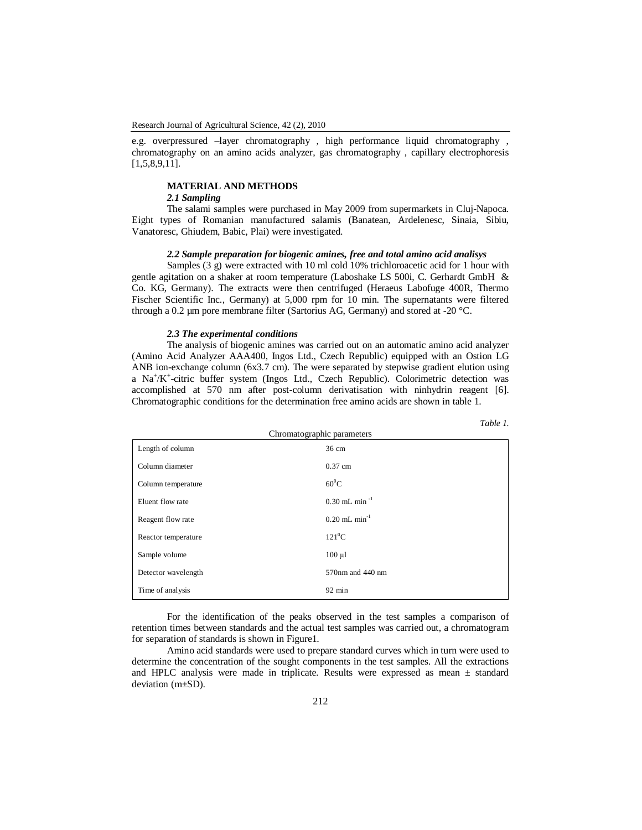e.g. overpressured –layer chromatography , high performance liquid chromatography , chromatography on an amino acids analyzer, gas chromatography , capillary electrophoresis [1,5,8,9,11].

# **MATERIAL AND METHODS**

# *2.1 Sampling*

The salami samples were purchased in May 2009 from supermarkets in Cluj-Napoca. Eight types of Romanian manufactured salamis (Banatean, Ardelenesc, Sinaia, Sibiu, Vanatoresc, Ghiudem, Babic, Plai) were investigated.

## *2.2 Sample preparation for biogenic amines, free and total amino acid analisys*

Samples (3 g) were extracted with 10 ml cold 10% trichloroacetic acid for 1 hour with gentle agitation on a shaker at room temperature (Laboshake LS 500i, C. Gerhardt GmbH & Co. KG, Germany). The extracts were then centrifuged (Heraeus Labofuge 400R, Thermo Fischer Scientific Inc., Germany) at 5,000 rpm for 10 min. The supernatants were filtered through a 0.2 µm pore membrane filter (Sartorius AG, Germany) and stored at -20 °C.

### *2.3 The experimental conditions*

The analysis of biogenic amines was carried out on an automatic amino acid analyzer (Amino Acid Analyzer AAA400, Ingos Ltd., Czech Republic) equipped with an Ostion LG ANB ion-exchange column (6x3.7 cm). The were separated by stepwise gradient elution using a Na<sup>+</sup>/K<sup>+</sup>-citric buffer system (Ingos Ltd., Czech Republic). Colorimetric detection was accomplished at 570 nm after post-column derivatisation with ninhydrin reagent [6]. Chromatographic conditions for the determination free amino acids are shown in table 1.

|--|--|

| Chromatographic parameters |                             |  |  |  |  |  |  |
|----------------------------|-----------------------------|--|--|--|--|--|--|
| Length of column           | 36 cm                       |  |  |  |  |  |  |
| Column diameter            | $0.37$ cm                   |  |  |  |  |  |  |
| Column temperature         | $60^0$ C                    |  |  |  |  |  |  |
| Eluent flow rate           | $0.30$ mL min <sup>-1</sup> |  |  |  |  |  |  |
| Reagent flow rate          | $0.20$ mL min <sup>-1</sup> |  |  |  |  |  |  |
| Reactor temperature        | $121^0C$                    |  |  |  |  |  |  |
| Sample volume              | $100 \mu l$                 |  |  |  |  |  |  |
| Detector wavelength        | 570nm and 440 nm            |  |  |  |  |  |  |
| Time of analysis           | $92 \text{ min}$            |  |  |  |  |  |  |

For the identification of the peaks observed in the test samples a comparison of retention times between standards and the actual test samples was carried out, a chromatogram for separation of standards is shown in Figure1.

Amino acid standards were used to prepare standard curves which in turn were used to determine the concentration of the sought components in the test samples. All the extractions and HPLC analysis were made in triplicate. Results were expressed as mean  $\pm$  standard deviation (m±SD).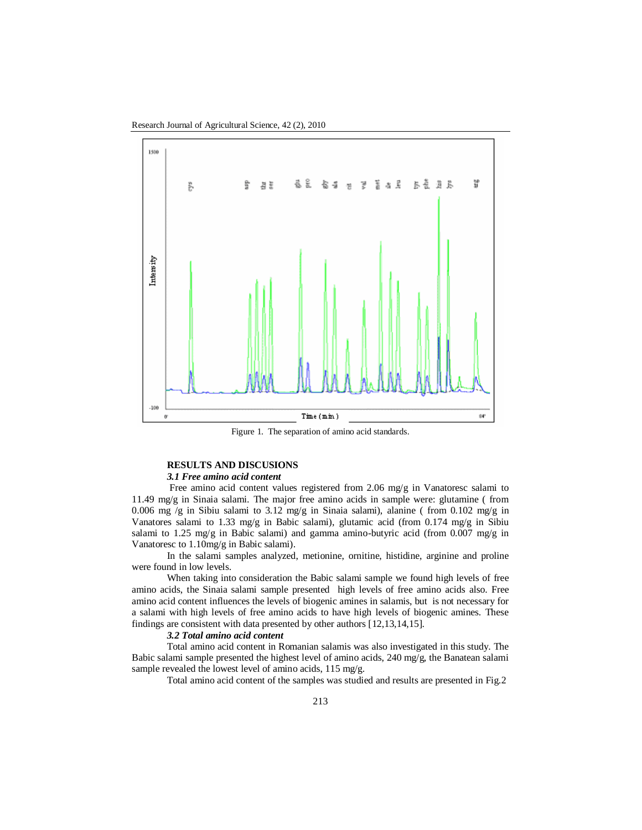

Figure 1. The separation of amino acid standards.

## **RESULTS AND DISCUSIONS**

# *3.1 Free amino acid content*

 Free amino acid content values registered from 2.06 mg/g in Vanatoresc salami to 11.49 mg/g in Sinaia salami. The major free amino acids in sample were: glutamine (from 0.006 mg /g in Sibiu salami to 3.12 mg/g in Sinaia salami), alanine (from 0.102 mg/g in Vanatores salami to 1.33 mg/g in Babic salami), glutamic acid (from 0.174 mg/g in Sibiu salami to 1.25 mg/g in Babic salami) and gamma amino-butyric acid (from 0.007 mg/g in Vanatoresc to 1.10mg/g in Babic salami).

In the salami samples analyzed, metionine, ornitine, histidine, arginine and proline were found in low levels.

When taking into consideration the Babic salami sample we found high levels of free amino acids, the Sinaia salami sample presented high levels of free amino acids also. Free amino acid content influences the levels of biogenic amines in salamis, but is not necessary for a salami with high levels of free amino acids to have high levels of biogenic amines. These findings are consistent with data presented by other authors [12,13,14,15].

### *3.2 Total amino acid content*

Total amino acid content in Romanian salamis was also investigated in this study. The Babic salami sample presented the highest level of amino acids, 240 mg/g, the Banatean salami sample revealed the lowest level of amino acids, 115 mg/g.

Total amino acid content of the samples was studied and results are presented in Fig.2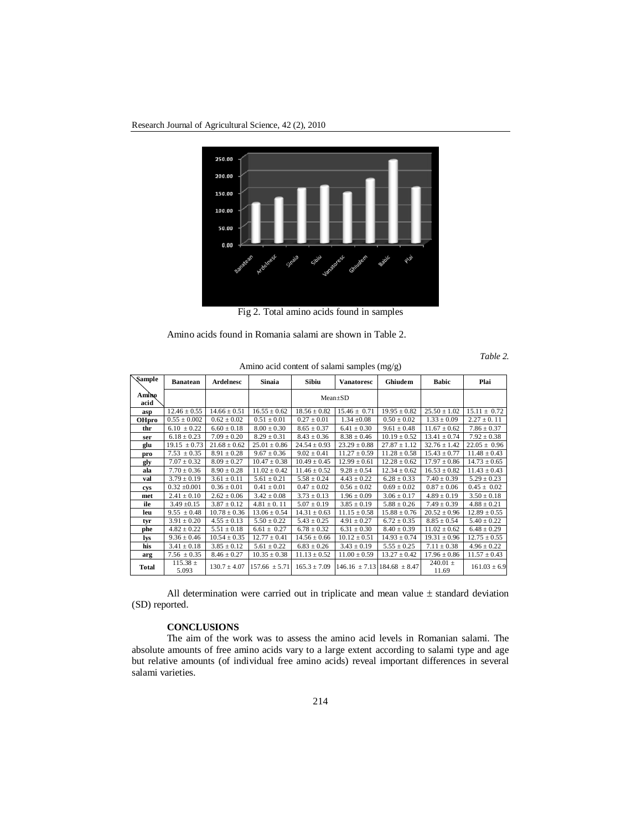Research Journal of Agricultural Science, 42 (2), 2010



Fig 2. Total amino acids found in samples

Amino acids found in Romania salami are shown in Table 2.

*Table 2.* 

| Sample        | <b>Banatean</b>       | Ardelnesc        | Sinaia            | Sibiu            | <b>Vanatoresc</b>                 | Ghiudem          | <b>Babic</b>          | Plai             |
|---------------|-----------------------|------------------|-------------------|------------------|-----------------------------------|------------------|-----------------------|------------------|
| Amino<br>acid |                       |                  |                   | $Mean \pm SD$    |                                   |                  |                       |                  |
| asp           | $12.46 \pm 0.55$      | $14.66 \pm 0.51$ | $16.55 \pm 0.62$  | $18.56 \pm 0.82$ | $15.46 \pm 0.71$                  | $19.95 \pm 0.82$ | $25.50 \pm 1.02$      | $15.11 \pm 0.72$ |
| <b>OHpro</b>  | $0.55 \pm 0.002$      | $0.62 \pm 0.02$  | $0.51 \pm 0.01$   | $0.27 \pm 0.01$  | $1.34 \pm 0.08$                   | $0.50 \pm 0.02$  | $1.33 \pm 0.09$       | $2.27 \pm 0.11$  |
| thr           | $6.10 \pm 0.22$       | $6.60 \pm 0.18$  | $8.00 \pm 0.30$   | $8.65 \pm 0.37$  | $6.41 \pm 0.30$                   | $9.61 \pm 0.48$  | $11.67 \pm 0.62$      | $7.86 \pm 0.37$  |
| ser           | $6.18 \pm 0.23$       | $7.09 \pm 0.20$  | $8.29 \pm 0.31$   | $8.43 \pm 0.36$  | $8.38 \pm 0.46$                   | $10.19 \pm 0.52$ | $13.41 \pm 0.74$      | $7.92 \pm 0.38$  |
| glu           | $19.15 \pm 0.73$      | $21.68 \pm 0.62$ | $25.01 \pm 0.86$  | $24.54 \pm 0.93$ | $23.29 \pm 0.88$                  | $27.87 \pm 1.12$ | $32.76 \pm 1.42$      | $22.05 \pm 0.96$ |
| pro           | $7.53 \pm 0.35$       | $8.91 \pm 0.28$  | $9.67 \pm 0.36$   | $9.02 \pm 0.41$  | $11.27 \pm 0.59$                  | $11.28 \pm 0.58$ | $15.43 \pm 0.77$      | $11.48 \pm 0.43$ |
| gly           | $7.07 \pm 0.32$       | $8.09 \pm 0.27$  | $10.47 \pm 0.38$  | $10.49 \pm 0.45$ | $12.99 \pm 0.61$                  | $12.28 \pm 0.62$ | $17.97 \pm 0.86$      | $14.73 \pm 0.65$ |
| ala           | $7.70 \pm 0.36$       | $8.90 \pm 0.28$  | $11.02 \pm 0.42$  | $11.46 \pm 0.52$ | $9.28 \pm 0.54$                   | $12.34 \pm 0.62$ | $16.53 \pm 0.82$      | $11.43 \pm 0.43$ |
| val           | $3.79 \pm 0.19$       | $3.61 \pm 0.11$  | $5.61 \pm 0.21$   | $5.58 \pm 0.24$  | $4.43 \pm 0.22$                   | $6.28 \pm 0.33$  | $7.40 \pm 0.39$       | $5.29 \pm 0.23$  |
| cvs           | $0.32 \pm 0.001$      | $0.36 \pm 0.01$  | $0.41 \pm 0.01$   | $0.47 \pm 0.02$  | $0.56 \pm 0.02$                   | $0.69 \pm 0.02$  | $0.87 \pm 0.06$       | $0.45 \pm 0.02$  |
| met           | $2.41 \pm 0.10$       | $2.62 \pm 0.06$  | $3.42 \pm 0.08$   | $3.73 \pm 0.13$  | $1.96 \pm 0.09$                   | $3.06 \pm 0.17$  | $4.89 \pm 0.19$       | $3.50 \pm 0.18$  |
| ile           | $3.49 \pm 0.15$       | $3.87 \pm 0.12$  | $4.81 \pm 0.11$   | $5.07 \pm 0.19$  | $3.85 \pm 0.19$                   | $5.88 \pm 0.26$  | $7.49 \pm 0.39$       | $4.88 \pm 0.21$  |
| leu           | $9.55 \pm 0.48$       | $10.78 \pm 0.36$ | $13.06 \pm 0.54$  | $14.31 \pm 0.63$ | $11.15 \pm 0.58$                  | $15.88 \pm 0.76$ | $20.52 \pm 0.96$      | $12.89 \pm 0.55$ |
| tvr           | $3.91 \pm 0.20$       | $4.55 \pm 0.13$  | $5.50 \pm 0.22$   | $5.43 \pm 0.25$  | $4.91 \pm 0.27$                   | $6.72 \pm 0.35$  | $8.85 \pm 0.54$       | $5.40 \pm 0.22$  |
| phe           | $4.82 \pm 0.22$       | $5.51 \pm 0.18$  | $6.61 \pm 0.27$   | $6.78 \pm 0.32$  | $6.31 \pm 0.30$                   | $8.40 \pm 0.39$  | $11.02 \pm 0.62$      | $6.48 \pm 0.29$  |
| lys           | $9.36 \pm 0.46$       | $10.54 \pm 0.35$ | $12.77 \pm 0.41$  | $14.56 \pm 0.66$ | $10.12 \pm 0.51$                  | $14.93 \pm 0.74$ | $19.31 \pm 0.96$      | $12.75 \pm 0.55$ |
| his           | $3.41 \pm 0.18$       | $3.85 \pm 0.12$  | $5.61 \pm 0.22$   | $6.83 \pm 0.26$  | $3.43 \pm 0.19$                   | $5.55 \pm 0.25$  | $7.11 \pm 0.38$       | $4.96 \pm 0.22$  |
| arg           | $7.56 \pm 0.35$       | $8.46 \pm 0.27$  | $10.35 \pm 0.38$  | $11.13 \pm 0.52$ | $11.00 \pm 0.59$                  | $13.27 \pm 0.42$ | $17.96 \pm 0.86$      | $11.57 \pm 0.43$ |
| Total         | $115.38 \pm$<br>5.093 | $130.7 \pm 4.07$ | $157.66 \pm 5.71$ | $165.3 \pm 7.09$ | $146.16 \pm 7.131184.68 \pm 8.47$ |                  | $240.01 \pm$<br>11.69 | $161.03 \pm 6.9$ |

Amino acid content of salami samples (mg/g)

All determination were carried out in triplicate and mean value  $\pm$  standard deviation (SD) reported.

### **CONCLUSIONS**

The aim of the work was to assess the amino acid levels in Romanian salami. The absolute amounts of free amino acids vary to a large extent according to salami type and age but relative amounts (of individual free amino acids) reveal important differences in several salami varieties.